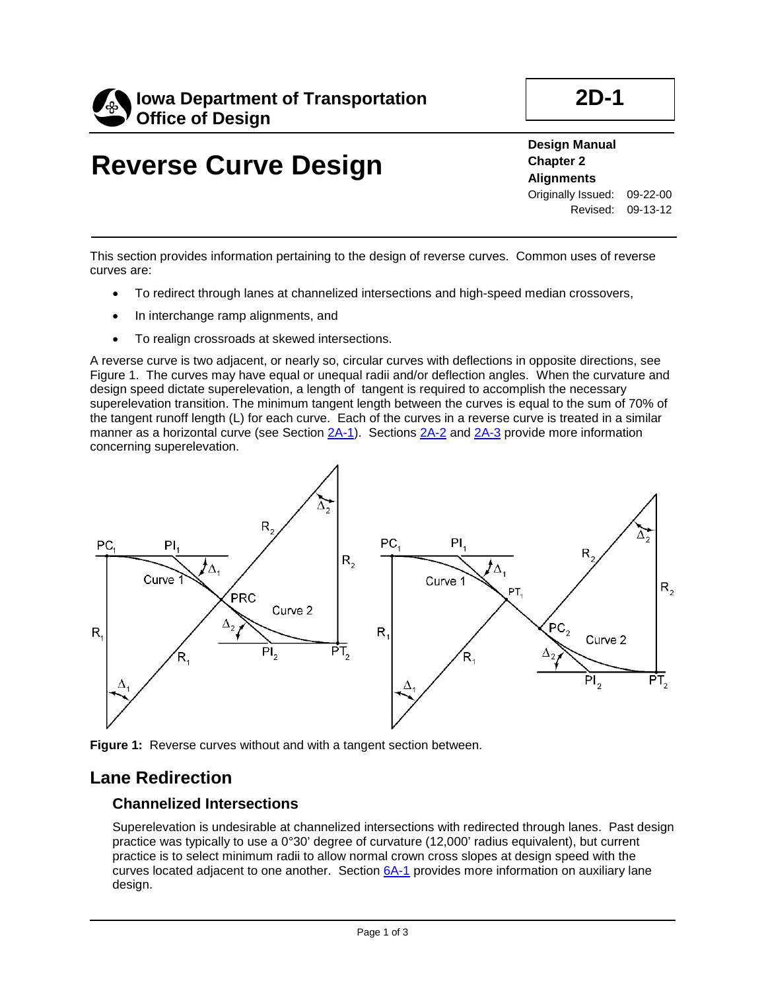

# **Reverse Curve Design**

**2D-1**

**Design Manual**

**Chapter 2 Alignments** Originally Issued: 09-22-00 Revised: 09-13-12

This section provides information pertaining to the design of reverse curves. Common uses of reverse curves are:

- To redirect through lanes at channelized intersections and high-speed median crossovers,
- In interchange ramp alignments, and
- To realign crossroads at skewed intersections.

A reverse curve is two adjacent, or nearly so, circular curves with deflections in opposite directions, see Figure 1. The curves may have equal or unequal radii and/or deflection angles. When the curvature and design speed dictate superelevation, a length of tangent is required to accomplish the necessary superelevation transition. The minimum tangent length between the curves is equal to the sum of 70% of the tangent runoff length (L) for each curve. Each of the curves in a reverse curve is treated in a similar manner as a horizontal curve (see Section 2A-1). Sections 2A-2 and 2A-3 provide more information concerning superelevation.



**Figure 1:** Reverse curves without and with a tangent section between.

#### **Lane Redirection**

#### **Channelized Intersections**

Superelevation is undesirable at channelized intersections with redirected through lanes. Past design practice was typically to use a 0°30' degree of curvature (12,000' radius equivalent), but current practice is to select minimum radii to allow normal crown cross slopes at design speed with the curves located adjacent to one another. Section 6A-1 provides more information on auxiliary lane design.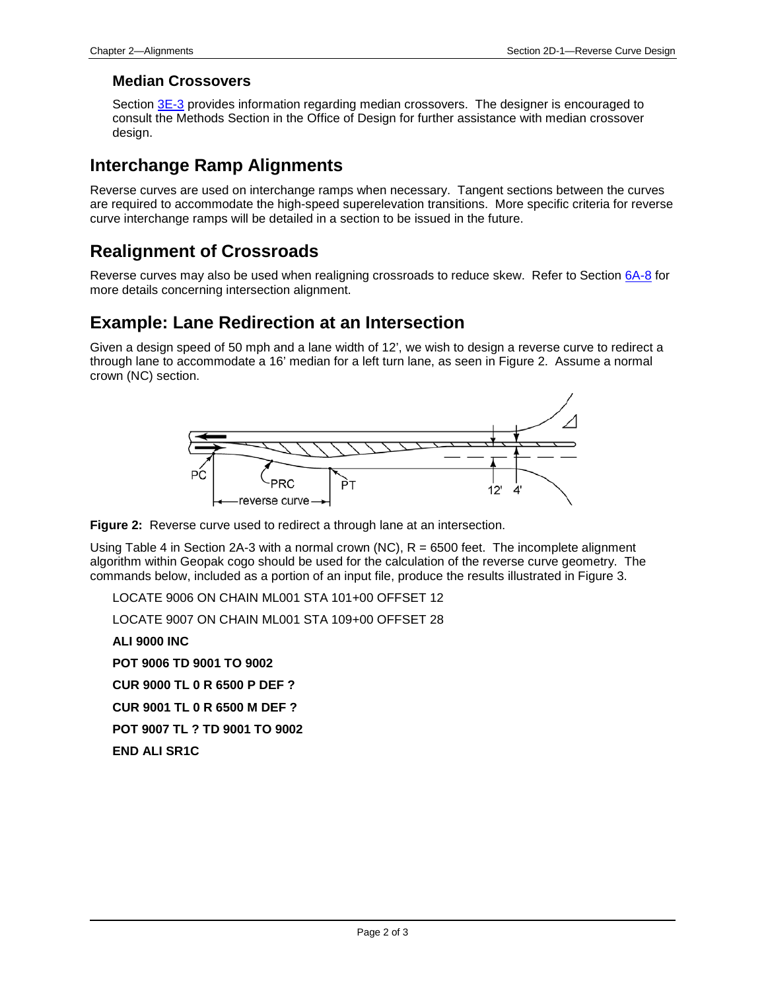#### **Median Crossovers**

Section 3E-3 provides information regarding median crossovers. The designer is encouraged to consult the Methods Section in the Office of Design for further assistance with median crossover design.

### **Interchange Ramp Alignments**

Reverse curves are used on interchange ramps when necessary. Tangent sections between the curves are required to accommodate the high-speed superelevation transitions. More specific criteria for reverse curve interchange ramps will be detailed in a section to be issued in the future.

### **Realignment of Crossroads**

Reverse curves may also be used when realigning crossroads to reduce skew. Refer to Section 6A-8 for more details concerning intersection alignment.

### **Example: Lane Redirection at an Intersection**

Given a design speed of 50 mph and a lane width of 12', we wish to design a reverse curve to redirect a through lane to accommodate a 16' median for a left turn lane, as seen in Figure 2. Assume a normal crown (NC) section.





Using Table 4 in Section 2A-3 with a normal crown (NC),  $R = 6500$  feet. The incomplete alignment algorithm within Geopak cogo should be used for the calculation of the reverse curve geometry. The commands below, included as a portion of an input file, produce the results illustrated in Figure 3.

LOCATE 9006 ON CHAIN ML001 STA 101+00 OFFSET 12

LOCATE 9007 ON CHAIN ML001 STA 109+00 OFFSET 28

**ALI 9000 INC**

**POT 9006 TD 9001 TO 9002**

**CUR 9000 TL 0 R 6500 P DEF ?**

**CUR 9001 TL 0 R 6500 M DEF ?**

**POT 9007 TL ? TD 9001 TO 9002**

**END ALI SR1C**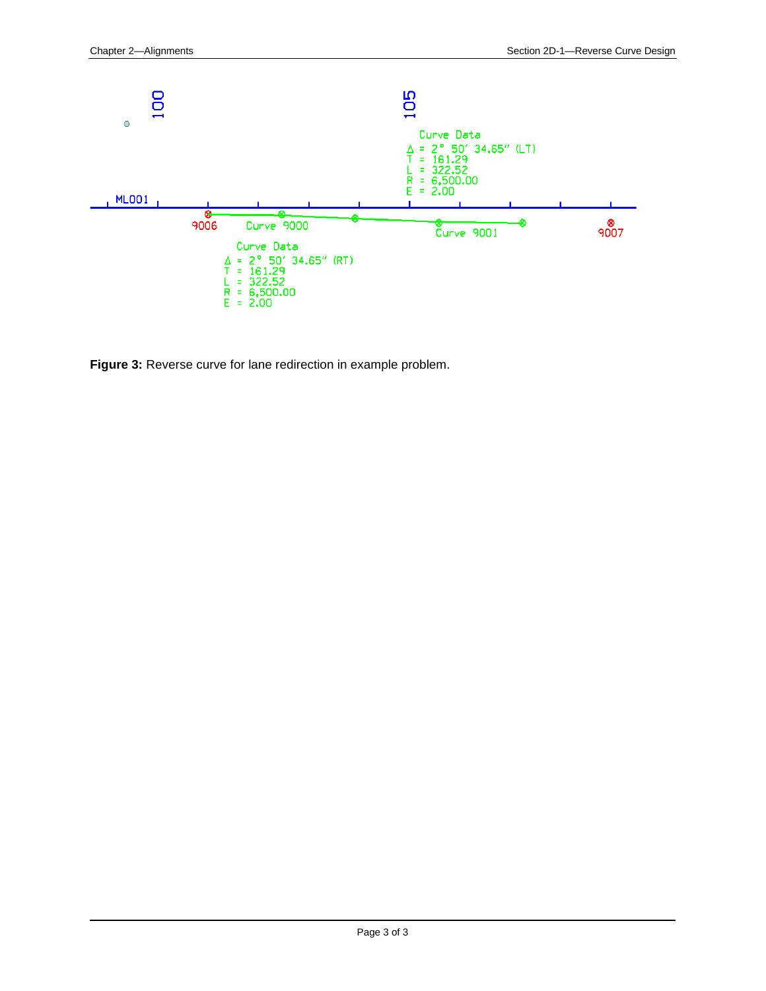

**Figure 3:** Reverse curve for lane redirection in example problem.